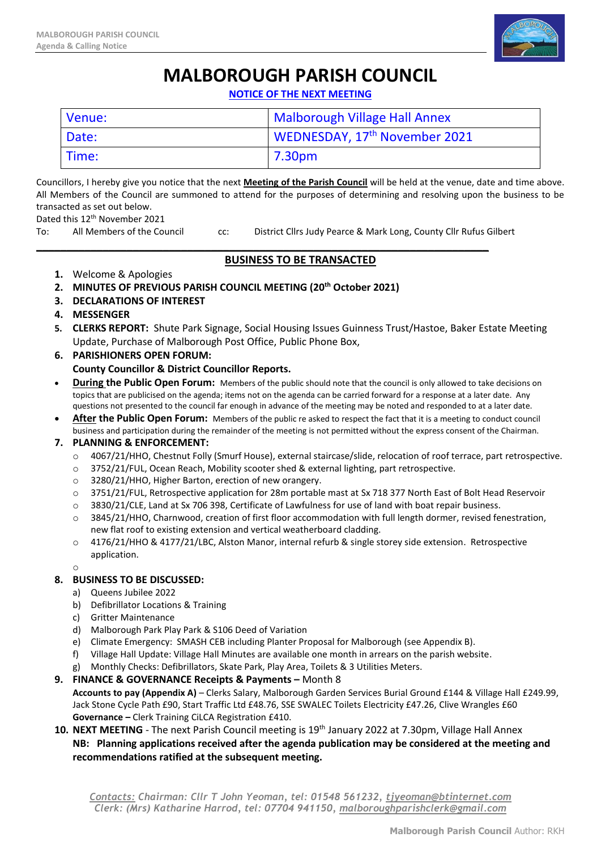

# **MALBOROUGH PARISH COUNCIL**

**NOTICE OF THE NEXT MEETING**

| Venue: | <b>Malborough Village Hall Annex</b> |
|--------|--------------------------------------|
| Date:  | WEDNESDAY, 17th November 2021        |
| Time:  | 7.30pm                               |

Councillors, I hereby give you notice that the next **Meeting of the Parish Council** will be held at the venue, date and time above. All Members of the Council are summoned to attend for the purposes of determining and resolving upon the business to be transacted as set out below.

Dated this 12<sup>th</sup> November 2021

To: All Members of the Council cc: District Cllrs Judy Pearce & Mark Long, County Cllr Rufus Gilbert

## **BUSINESS TO BE TRANSACTED**

\_\_\_\_\_\_\_\_\_\_\_\_\_\_\_\_\_\_\_\_\_\_\_\_\_\_\_\_\_\_\_\_\_\_\_\_\_\_\_\_\_\_\_\_\_\_\_\_\_\_\_\_\_\_\_\_\_\_\_\_\_\_\_\_\_\_\_\_\_\_\_\_\_\_\_

- **1.** Welcome & Apologies
- **2. MINUTES OF PREVIOUS PARISH COUNCIL MEETING (20th October 2021)**
- **3. DECLARATIONS OF INTEREST**
- **4. MESSENGER**
- **5. CLERKS REPORT:** Shute Park Signage, Social Housing Issues Guinness Trust/Hastoe, Baker Estate Meeting Update, Purchase of Malborough Post Office, Public Phone Box,
- **6. PARISHIONERS OPEN FORUM: County Councillor & District Councillor Reports.**
- **During the Public Open Forum:** Members of the public should note that the council is only allowed to take decisions on topics that are publicised on the agenda; items not on the agenda can be carried forward for a response at a later date. Any questions not presented to the council far enough in advance of the meeting may be noted and responded to at a later date.
- **After the Public Open Forum:** Members of the public re asked to respect the fact that it is a meeting to conduct council business and participation during the remainder of the meeting is not permitted without the express consent of the Chairman.

## **7. PLANNING & ENFORCEMENT:**

- o 4067/21/HHO, Chestnut Folly (Smurf House), external staircase/slide, relocation of roof terrace, part retrospective.
- o 3752/21/FUL, Ocean Reach, Mobility scooter shed & external lighting, part retrospective.
- o 3280/21/HHO, Higher Barton, erection of new orangery.
- o 3751/21/FUL, Retrospective application for 28m portable mast at Sx 718 377 North East of Bolt Head Reservoir
- o 3830/21/CLE, Land at Sx 706 398, Certificate of Lawfulness for use of land with boat repair business.
- o 3845/21/HHO, Charnwood, creation of first floor accommodation with full length dormer, revised fenestration, new flat roof to existing extension and vertical weatherboard cladding.
- o 4176/21/HHO & 4177/21/LBC, Alston Manor, internal refurb & single storey side extension. Retrospective application.

#### o

#### **8. BUSINESS TO BE DISCUSSED:**

- a) Queens Jubilee 2022
- b) Defibrillator Locations & Training
- c) Gritter Maintenance
- d) Malborough Park Play Park & S106 Deed of Variation
- e) Climate Emergency: SMASH CEB including Planter Proposal for Malborough (see Appendix B).
- f) Village Hall Update: Village Hall Minutes are available one month in arrears on the parish website.
- g) Monthly Checks: Defibrillators, Skate Park, Play Area, Toilets & 3 Utilities Meters.
- **9. FINANCE & GOVERNANCE Receipts & Payments –** Month 8

**Accounts to pay (Appendix A)** – Clerks Salary, Malborough Garden Services Burial Ground £144 & Village Hall £249.99, Jack Stone Cycle Path £90, Start Traffic Ltd £48.76, SSE SWALEC Toilets Electricity £47.26, Clive Wrangles £60 **Governance –** Clerk Training CiLCA Registration £410.

10. **NEXT MEETING** - The next Parish Council meeting is 19<sup>th</sup> January 2022 at 7.30pm, Village Hall Annex **NB: Planning applications received after the agenda publication may be considered at the meeting and recommendations ratified at the subsequent meeting.** 

*Contacts: Chairman: Cllr T John Yeoman, tel: 01548 561232, [tjyeoman@btinternet.com](mailto:tjyeoman@btinternet.com) Clerk: (Mrs) Katharine Harrod, tel: 07704 941150, [malboroughparishclerk@gmail.com](mailto:malboroughparishclerk@gmail.com)*